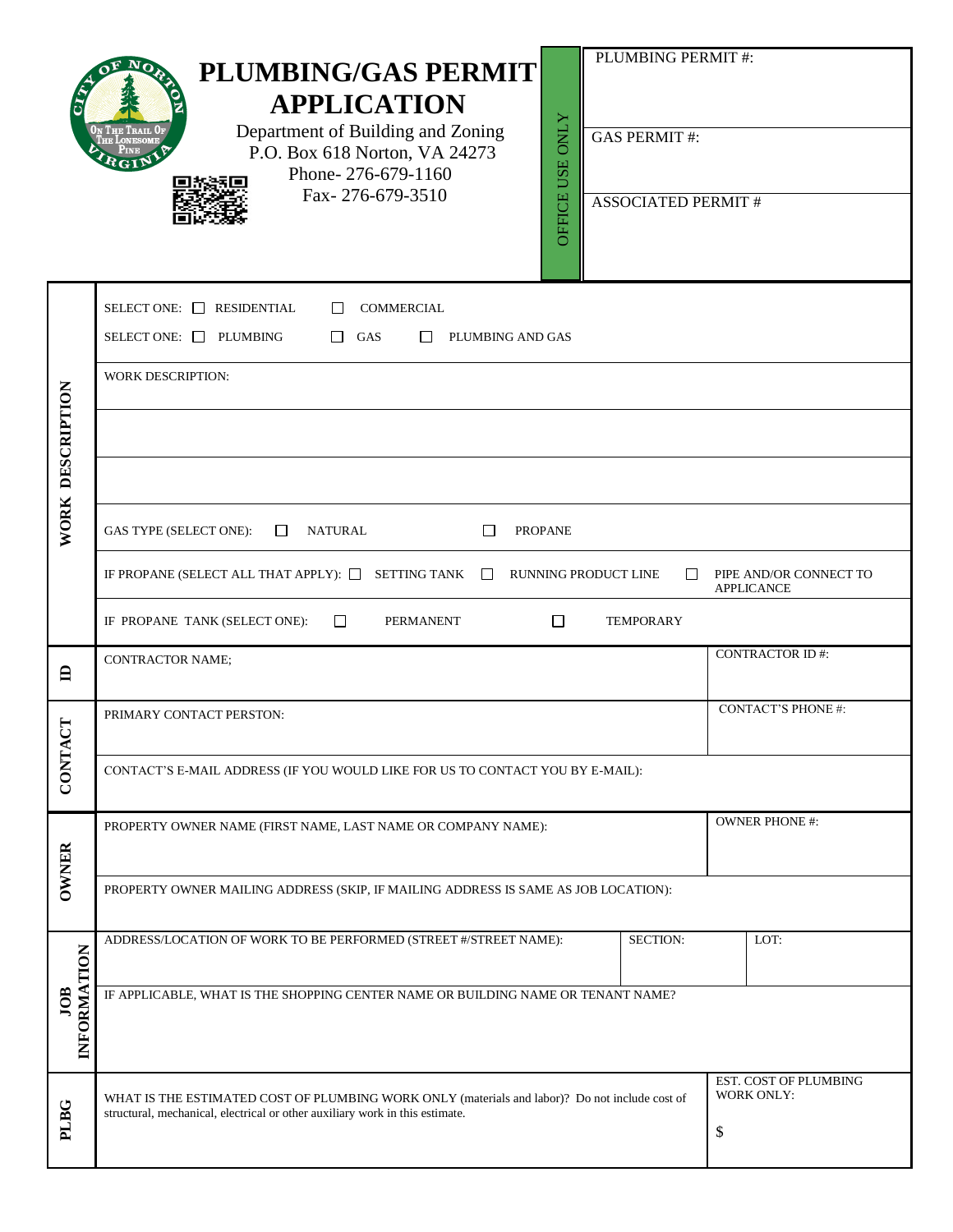|                    | PLUMBING PERMIT#:<br><b>PLUMBING/GAS PERMIT</b><br><b>APPLICATION</b><br>OFFICE USE ONLY<br>Department of Building and Zoning<br><b>GAS PERMIT#:</b><br>P.O. Box 618 Norton, VA 24273<br>Phone-276-679-1160<br>Fax-276-679-3510<br><b>ASSOCIATED PERMIT #</b> |                                                  |  |  |  |  |  |
|--------------------|---------------------------------------------------------------------------------------------------------------------------------------------------------------------------------------------------------------------------------------------------------------|--------------------------------------------------|--|--|--|--|--|
|                    | RESIDENTIAL<br><b>COMMERCIAL</b><br>SELECT ONE: $\Box$<br>$\perp$                                                                                                                                                                                             |                                                  |  |  |  |  |  |
|                    | SELECT ONE: PLUMBING<br>$\Box$<br>GAS<br>PLUMBING AND GAS<br>$\mathbf{1}$                                                                                                                                                                                     |                                                  |  |  |  |  |  |
|                    | <b>WORK DESCRIPTION:</b>                                                                                                                                                                                                                                      |                                                  |  |  |  |  |  |
| DESCRIPTION        |                                                                                                                                                                                                                                                               |                                                  |  |  |  |  |  |
|                    |                                                                                                                                                                                                                                                               |                                                  |  |  |  |  |  |
| WORK               | GAS TYPE (SELECT ONE):<br><b>NATURAL</b><br><b>PROPANE</b><br>$\Box$<br>П                                                                                                                                                                                     |                                                  |  |  |  |  |  |
|                    | IF PROPANE (SELECT ALL THAT APPLY): $\Box$ SETTING TANK $\Box$<br>RUNNING PRODUCT LINE<br>PIPE AND/OR CONNECT TO<br>$\mathsf{L}$<br><b>APPLICANCE</b>                                                                                                         |                                                  |  |  |  |  |  |
|                    | IF PROPANE TANK (SELECT ONE):<br>PERMANENT<br><b>TEMPORARY</b><br>$\Box$<br>$\Box$                                                                                                                                                                            |                                                  |  |  |  |  |  |
| 白                  | <b>CONTRACTOR NAME;</b>                                                                                                                                                                                                                                       | <b>CONTRACTOR ID#:</b>                           |  |  |  |  |  |
| E                  | PRIMARY CONTACT PERSTON:                                                                                                                                                                                                                                      | <b>CONTACT'S PHONE#:</b>                         |  |  |  |  |  |
| CONTA              | CONTACT'S E-MAIL ADDRESS (IF YOU WOULD LIKE FOR US TO CONTACT YOU BY E-MAIL):                                                                                                                                                                                 |                                                  |  |  |  |  |  |
|                    | PROPERTY OWNER NAME (FIRST NAME, LAST NAME OR COMPANY NAME):                                                                                                                                                                                                  | <b>OWNER PHONE #:</b>                            |  |  |  |  |  |
| <b>OWNER</b>       | PROPERTY OWNER MAILING ADDRESS (SKIP, IF MAILING ADDRESS IS SAME AS JOB LOCATION):                                                                                                                                                                            |                                                  |  |  |  |  |  |
|                    | SECTION:<br>ADDRESS/LOCATION OF WORK TO BE PERFORMED (STREET #/STREET NAME):                                                                                                                                                                                  | LOT:                                             |  |  |  |  |  |
| INFORMATION<br>JOB | IF APPLICABLE, WHAT IS THE SHOPPING CENTER NAME OR BUILDING NAME OR TENANT NAME?                                                                                                                                                                              |                                                  |  |  |  |  |  |
| PLBG               | WHAT IS THE ESTIMATED COST OF PLUMBING WORK ONLY (materials and labor)? Do not include cost of<br>structural, mechanical, electrical or other auxiliary work in this estimate.                                                                                | EST. COST OF PLUMBING<br><b>WORK ONLY:</b><br>\$ |  |  |  |  |  |